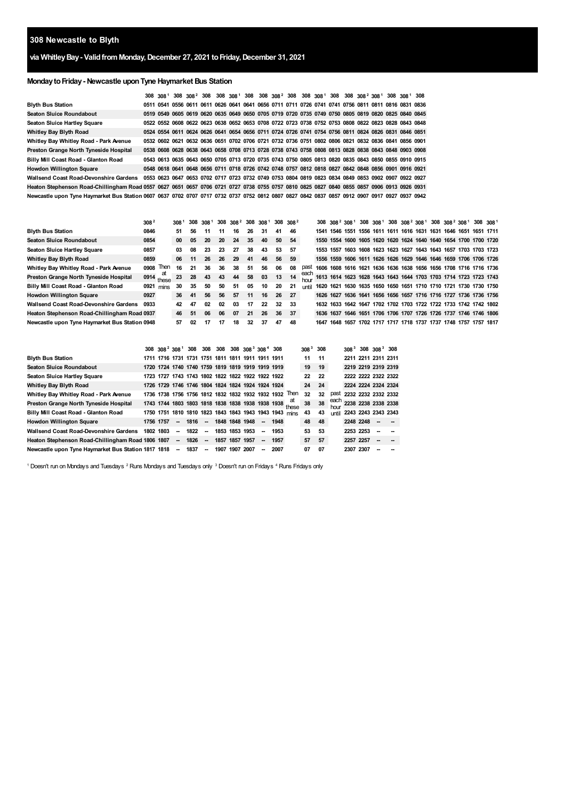# **Newcastle to Blyth**

## **via WhitleyBay- ValidfromMonday,December 27, 2021 toFriday,December 31, 2021**

## **MondaytoFriday- Newcastle uponTyne Haymarket Bus Station**

|                                                                                                                                               |  |  |  |  |  |  |  |  |  | 308 308 <sup>1</sup> 308 308 <sup>2</sup> 308 308 308 <sup>1</sup> 308 308 308 <sup>2</sup> 308 308 308 <sup>1</sup> 308 308 <sup>2</sup> 308 <sup>2</sup> 308 <sup>1</sup> 308 308 <sup>1</sup> 308 |  |
|-----------------------------------------------------------------------------------------------------------------------------------------------|--|--|--|--|--|--|--|--|--|------------------------------------------------------------------------------------------------------------------------------------------------------------------------------------------------------|--|
| <b>Blyth Bus Station</b>                                                                                                                      |  |  |  |  |  |  |  |  |  | 0511 0541 0556 0611 0611 0626 0641 0641 0656 0711 0711 0726 0741 0741 0756 0811 0811 0816 0831 0836                                                                                                  |  |
| <b>Seaton Sluice Roundabout</b>                                                                                                               |  |  |  |  |  |  |  |  |  | 0519 0549 0605 0619 0620 0635 0649 0650 0705 0719 0720 0735 0749 0750 0805 0819 0820 0825 0840 0845                                                                                                  |  |
| <b>Seaton Sluice Hartley Square</b>                                                                                                           |  |  |  |  |  |  |  |  |  | 0522 0552 0608 0622 0623 0638 0652 0653 0708 0722 0723 0738 0752 0753 0808 0822 0823 0828 0843 0848                                                                                                  |  |
| Whitley Bay Blyth Road                                                                                                                        |  |  |  |  |  |  |  |  |  | 0524 0554 0611 0624 0626 0641 0654 0656 0711 0724 0726 0741 0754 0756 0811 0824 0826 0831 0846 0851                                                                                                  |  |
| Whitley Bay Whitley Road - Park Avenue                                                                                                        |  |  |  |  |  |  |  |  |  | 0532 0602 0621 0632 0636 0651 0702 0706 0721 0732 0736 0751 0802 0806 0821 0832 0836 0841 0856 0901                                                                                                  |  |
| Preston Grange North Tyneside Hospital                                                                                                        |  |  |  |  |  |  |  |  |  | 0538 0608 0628 0638 0643 0658 0708 0713 0728 0738 0743 0758 0808 0813 0828 0838 0843 0848 0903 0908                                                                                                  |  |
| Billy Mill Coast Road - Glanton Road                                                                                                          |  |  |  |  |  |  |  |  |  | 0543 0613 0635 0643 0650 0705 0713 0720 0735 0743 0750 0805 0813 0820 0835 0843 0850 0855 0910 0915                                                                                                  |  |
| <b>Howdon Willington Square</b>                                                                                                               |  |  |  |  |  |  |  |  |  | 0548 0618 0641 0648 0656 0711 0718 0726 0742 0748 0757 0812 0818 0827 0842 0848 0856 0901 0916 0921                                                                                                  |  |
| Wallsend Coast Road-Devonshire Gardens 0553 0623 0647 0653 0702 0717 0723 0732 0749 0753 0804 0819 0823 0834 0849 0853 0902 0907 0922 0927    |  |  |  |  |  |  |  |  |  |                                                                                                                                                                                                      |  |
| Heaton Stephenson Road-Chillingham Road 0557 0627 0651 0657 0706 0721 0727 0738 0755 0757 0810 0825 0827 0840 0855 0857 0906 0913 0926 0931   |  |  |  |  |  |  |  |  |  |                                                                                                                                                                                                      |  |
| Newcastle upon Tyne Haymarket Bus Station 0607 0637 0702 0707 0717 0732 0737 0752 0812 0807 0827 0842 0837 0857 0912 0907 0917 0927 0937 0942 |  |  |  |  |  |  |  |  |  |                                                                                                                                                                                                      |  |

|                                                | 308 <sup>2</sup> |      | 308 <sup>1</sup> |    |    |    | 308 308 <sup>1</sup> 308 308 <sup>2</sup> 308 308 <sup>1</sup> |    |     |    | 308 308 <sup>2</sup> |              |      |  |  |  |  |  | 308 308 <sup>2</sup> 308 <sup>1</sup> 308 308 <sup>1</sup> 308 308 <sup>2</sup> 308 <sup>1</sup> 308 308 <sup>2</sup> 308 <sup>1</sup> 308 308 <sup>1</sup> |  |
|------------------------------------------------|------------------|------|------------------|----|----|----|----------------------------------------------------------------|----|-----|----|----------------------|--------------|------|--|--|--|--|--|-------------------------------------------------------------------------------------------------------------------------------------------------------------|--|
| <b>Blyth Bus Station</b>                       | 0846             |      | 51               | 56 | 11 | 11 | 16                                                             | 26 | 31  | 41 | 46                   |              |      |  |  |  |  |  | 1541 1546 1551 1556 1611 1611 1616 1631 1631 1646 1651 1651 1711                                                                                            |  |
| <b>Seaton Sluice Roundabout</b>                | 0854             |      | 00               | 05 | 20 | 20 | 24                                                             | 35 | 40  | 50 | 54                   |              |      |  |  |  |  |  | 1550 1554 1600 1605 1620 1620 1624 1640 1640 1654 1700 1700 1720                                                                                            |  |
| Seaton Sluice Hartley Square                   | 0857             |      | 03               | 08 | 23 | 23 | 27                                                             | 38 | 43  | 53 | 57                   |              |      |  |  |  |  |  | 1553 1557 1603 1608 1623 1623 1627 1643 1643 1657 1703 1703 1723                                                                                            |  |
| Whitley Bay Blyth Road                         | 0859             |      | 06               | 11 | 26 | 26 | 29                                                             | 41 | 46  | 56 | 59                   |              |      |  |  |  |  |  | 1556 1559 1606 1611 1626 1626 1629 1646 1646 1659 1706 1706 1726                                                                                            |  |
| Whitley Bay Whitley Road - Park Avenue         | 0908             | Then | 16               | 21 | 36 | 36 | 38                                                             | 51 | 56  | 06 | 08                   | past         |      |  |  |  |  |  | 1606 1608 1616 1621 1636 1636 1638 1656 1656 1708 1716 1716 1736                                                                                            |  |
| Preston Grange North Tyneside Hospital         | at<br>0914 these |      | 23               | 28 | 43 | 43 | 44                                                             | 58 | 03  | 13 | 14                   | each         |      |  |  |  |  |  | 1613 1614 1623 1628 1643 1643 1644 1703 1703 1714 1723 1723 1743                                                                                            |  |
| Billy Mill Coast Road - Glanton Road           | $0921$ mins      |      | 30               | 35 | 50 | 50 | 51                                                             | 05 | 10  | 20 | 21                   | <b>until</b> |      |  |  |  |  |  | 1620 1621 1630 1635 1650 1650 1651 1710 1710 1721 1730 1730 1750                                                                                            |  |
| <b>Howdon Willington Square</b>                | 0927             |      | 36               | 41 | 56 | 56 | 57                                                             | 11 | 16. | 26 | 27                   |              |      |  |  |  |  |  | 1626 1627 1636 1641 1656 1656 1657 1716 1716 1727 1736 1736 1756                                                                                            |  |
| <b>Wallsend Coast Road-Devonshire Gardens</b>  | 0933             |      | 42               | 47 | 02 | 02 | 03                                                             | 17 | 22  | 32 | 33                   |              |      |  |  |  |  |  | 1632 1633 1642 1647 1702 1702 1703 1722 1722 1733 1742 1742 1802                                                                                            |  |
| Heaton Stephenson Road-Chillingham Road 0937   |                  |      | 46               | 51 | 06 | 06 | 07                                                             | 21 | 26  | 36 | 37                   |              |      |  |  |  |  |  | 1636 1637 1646 1651 1706 1706 1707 1726 1726 1737 1746 1746 1806                                                                                            |  |
| Newcastle upon Tyne Haymarket Bus Station 0948 |                  |      | 57               | 02 | 17 | 17 | 18                                                             | 32 | 37  | 47 | 48                   |              | 1647 |  |  |  |  |  | 1648 1657 1702 1717 1717 1718 1737 1737 1748 1757 1757 1817                                                                                                 |  |

|                                                             |           |        |           |        |                | 308 308 <sup>2</sup> 308 <sup>1</sup> 308 308 308 308 308 308 <sup>3</sup> 308 4 308 |                          |      |             | $308^3$ 308 |    |              |           | 308 <sup>3</sup> 308 308 <sup>3</sup> 308 |  |
|-------------------------------------------------------------|-----------|--------|-----------|--------|----------------|--------------------------------------------------------------------------------------|--------------------------|------|-------------|-------------|----|--------------|-----------|-------------------------------------------|--|
| <b>Blyth Bus Station</b>                                    |           |        |           |        |                | 1711 1716 1731 1731 1751 1811 1811 1911 1911 1911                                    |                          |      |             | 11          | 11 |              |           | 2211 2211 2311 2311                       |  |
| <b>Seaton Sluice Roundabout</b>                             |           |        |           |        |                | 1720 1724 1740 1740 1759 1819 1819 1919 1919 1919                                    |                          |      |             | 19          | 19 |              |           | 2219 2219 2319 2319                       |  |
| <b>Seaton Sluice Hartley Square</b>                         |           |        |           |        |                | 1723 1727 1743 1743 1802 1822 1822 1922 1922 1922                                    |                          |      |             | 22          | 22 |              |           | 2222 2222 2322 2322                       |  |
| <b>Whitley Bay Blyth Road</b>                               |           |        |           |        |                | 1726 1729 1746 1746 1804 1824 1824 1924 1924 1924                                    |                          |      |             | 24          | 24 |              |           | 2224 2224 2324 2324                       |  |
| Whitley Bay Whitley Road - Park Avenue                      |           |        |           |        |                | 1736 1738 1756 1756 1812 1832 1832 1932 1932 1932                                    |                          |      | Then        | 32          | 32 | past         |           | 2232 2232 2332 2332                       |  |
| Preston Grange North Tyneside Hospital                      |           |        |           |        |                | 1743 1744 1803 1803 1818 1838 1838 1938 1938 1938                                    |                          |      | at<br>these | 38          | 38 | each<br>hour |           | 2238 2238 2338 2338                       |  |
| Billy Mill Coast Road - Glanton Road                        |           |        |           |        |                | 1750 1751 1810 1810 1823 1843 1843 1943 1943 1943 mins                               |                          |      |             | 43          | 43 |              |           | until 2243 2243 2343 2343                 |  |
| <b>Howdon Willington Square</b>                             | 1756 1757 |        |           |        |                | $- 1816 - 184818481948$                                                              | $\overline{\phantom{a}}$ | 1948 |             | 48          | 48 |              | 2248 2248 | $\overline{\phantom{a}}$                  |  |
| <b>Wallsend Coast Road-Devonshire Gardens</b>               | 1802 1803 | $\sim$ | 1822      | $\sim$ |                | 1853 1853 1953                                                                       | -                        | 1953 |             | 53          | 53 |              | 2253 2253 | $\overline{\phantom{a}}$                  |  |
| Heaton Stephenson Road-Chillingham Road 1806 1807           |           |        | $-1826 -$ |        |                | 1857 1857 1957                                                                       | $\overline{\phantom{a}}$ | 1957 |             | 57          | 57 |              | 2257 2257 | $\overline{\phantom{a}}$                  |  |
| Newcastle upon Tyne Haymarket Bus Station 1817 1818 -- 1837 |           |        |           | $\sim$ | 1907 1907 2007 |                                                                                      | -                        | 2007 |             | 07          | 07 |              | 2307 2307 | --                                        |  |

<span id="page-0-3"></span><span id="page-0-2"></span><span id="page-0-1"></span><span id="page-0-0"></span> $^1$  Doesn't run on Mondays and Tuesdays  $^2$  Runs Mondays and Tuesdays only  $^3$  Doesn't run on Fridays  $^4$  Runs Fridays only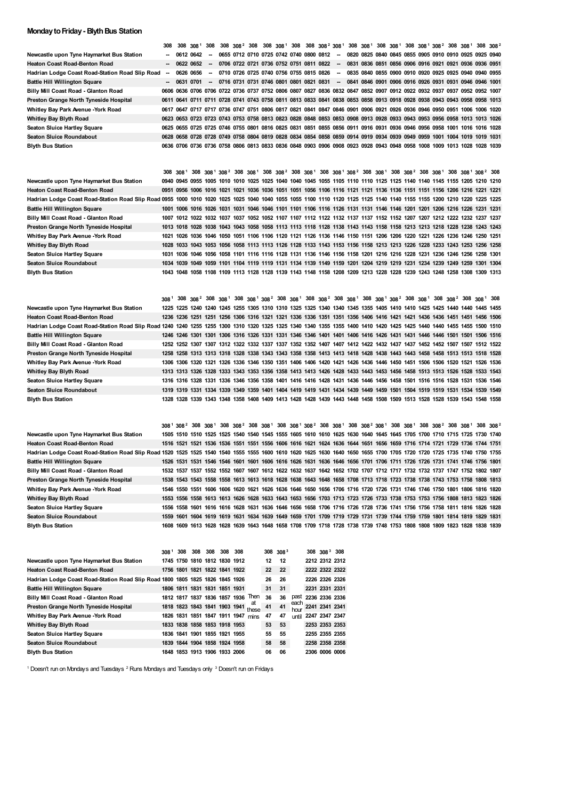### **Monday to Friday - Blyth Bus Station**

|                                                                                                                                                                         | 308    | 308       | 308 <sup>1</sup>                                                                                                        | 308    |  |  |  |                                           |        |  |  |  | 308 308 <sup>2</sup> 308 308 308 <sup>1</sup> 308 308 308 <sup>2</sup> 308 <sup>1</sup> 308 308 <sup>1</sup> 308 308 <sup>1</sup> 308 308 <sup>1</sup> 308 <sup>2</sup> 308 308 <sup>1</sup> 308 308 <sup>2</sup>                                                        |  |  |
|-------------------------------------------------------------------------------------------------------------------------------------------------------------------------|--------|-----------|-------------------------------------------------------------------------------------------------------------------------|--------|--|--|--|-------------------------------------------|--------|--|--|--|--------------------------------------------------------------------------------------------------------------------------------------------------------------------------------------------------------------------------------------------------------------------------|--|--|
| Newcastle upon Tyne Haymarket Bus Station                                                                                                                               |        |           | 0612 0642                                                                                                               | $\sim$ |  |  |  | 0655 0712 0710 0725 0742 0740 0800 0812   | $\sim$ |  |  |  | 0820 0825 0840 0845 0855 0905 0910 0910 0925 0925 0940                                                                                                                                                                                                                   |  |  |
| <b>Heaton Coast Road-Benton Road</b>                                                                                                                                    |        | 0622 0652 |                                                                                                                         | $\sim$ |  |  |  | 0706 0722 0721 0736 0752 0751 0811 0822 - |        |  |  |  | 0831 0836 0851 0856 0906 0916 0921 0921 0936 0936 0951                                                                                                                                                                                                                   |  |  |
| Hadrian Lodge Coast Road-Station Road Slip Road                                                                                                                         | $\sim$ |           | 0626 0656                                                                                                               | $\sim$ |  |  |  | 0710 0726 0725 0740 0756 0755 0815 0826   | $\sim$ |  |  |  | 0835 0840 0855 0900 0910 0920 0925 0925 0940 0940 0955                                                                                                                                                                                                                   |  |  |
| <b>Battle Hill Willington Square</b>                                                                                                                                    |        | 0631 0701 |                                                                                                                         | $\sim$ |  |  |  | 0716 0731 0731 0746 0801 0801 0821 0831   | $\sim$ |  |  |  | 0841 0846 0901 0906 0916 0926 0931 0931 0946 0946 1001                                                                                                                                                                                                                   |  |  |
| Billy Mill Coast Road - Glanton Road                                                                                                                                    |        |           |                                                                                                                         |        |  |  |  |                                           |        |  |  |  | 0606 0636 0706 0706 0722 0736 0737 0752 0806 0807 0827 0836 0832 0847 0852 0907 0912 0922 0932 0937 0937 0952 0952 1007                                                                                                                                                  |  |  |
| Preston Grange North Tyneside Hospital                                                                                                                                  |        |           |                                                                                                                         |        |  |  |  |                                           |        |  |  |  | 0611 0641 0711 0711 0728 0741 0743 0758 0811 0813 0833 0841 0838 0853 0858 0913 0918 0928 0938 0943 0943 0958 0958 1013                                                                                                                                                  |  |  |
| Whitley Bay Park Avenue - York Road                                                                                                                                     |        |           |                                                                                                                         |        |  |  |  |                                           |        |  |  |  | 0617 0647 0717 0717 0736 0747 0751 0806 0817 0821 0841 0847 0846 0901 0906 0921 0926 0936 0946 0950 0951 1006 1006 1020                                                                                                                                                  |  |  |
| <b>Whitley Bay Blyth Road</b>                                                                                                                                           |        |           |                                                                                                                         |        |  |  |  |                                           |        |  |  |  | 0623 0653 0723 0723 0743 0753 0758 0813 0823 0828 0848 0853 0853 0908 0913 0928 0933 0943 0953 0956 0958 1013 1013 1026                                                                                                                                                  |  |  |
| <b>Seaton Sluice Hartley Square</b>                                                                                                                                     |        |           |                                                                                                                         |        |  |  |  |                                           |        |  |  |  | 0625 0655 0725 0725 0746 0755 0801 0816 0825 0831 0851 0855 0856 0911 0916 0931 0936 0946 0956 0958 1001 1016 1016 1028                                                                                                                                                  |  |  |
| <b>Seaton Sluice Roundabout</b>                                                                                                                                         |        |           |                                                                                                                         |        |  |  |  |                                           |        |  |  |  | 0628 0658 0728 0728 0749 0758 0804 0819 0828 0834 0854 0858 0859 0914 0919 0934 0939 0949 0959 1001 1004 1019 1019 1031                                                                                                                                                  |  |  |
| <b>Blyth Bus Station</b>                                                                                                                                                |        |           |                                                                                                                         |        |  |  |  |                                           |        |  |  |  | 0636 0706 0736 0736 0758 0806 0813 0833 0836 0848 0903 0906 0908 0923 0928 0943 0948 0958 1008 1009 1013 1028 1028 1039                                                                                                                                                  |  |  |
|                                                                                                                                                                         |        |           |                                                                                                                         |        |  |  |  |                                           |        |  |  |  |                                                                                                                                                                                                                                                                          |  |  |
|                                                                                                                                                                         |        |           |                                                                                                                         |        |  |  |  |                                           |        |  |  |  |                                                                                                                                                                                                                                                                          |  |  |
|                                                                                                                                                                         |        |           |                                                                                                                         |        |  |  |  |                                           |        |  |  |  | 308 308 <sup>1</sup> 308 308 <sup>1</sup> 308 <sup>2</sup> 308 308 <sup>1</sup> 308 308 <sup>2</sup> 308 308 <sup>1</sup> 308 308 <sup>1</sup> 308 <sup>2</sup> 308 308 <sup>1</sup> 308 308 <sup>2</sup> 308 308 <sup>1</sup> 308 308 <sup>1</sup> 308 308 <sup>1</sup> |  |  |
| Newcastle upon Tyne Haymarket Bus Station                                                                                                                               |        |           |                                                                                                                         |        |  |  |  |                                           |        |  |  |  | 0940 0945 0955 1005 1010 1010 1025 1025 1040 1040 1045 1055 1105 1110 1110 1125 1125 1140 1140 1145 1155 1205 1210 1210                                                                                                                                                  |  |  |
| <b>Heaton Coast Road-Benton Road</b>                                                                                                                                    |        |           |                                                                                                                         |        |  |  |  |                                           |        |  |  |  | 0951 0956 1006 1016 1021 1021 1036 1036 1051 1051 1056 1106 1116 1121 1121 1136 1136 1151 1151 1156 1206 1216 1221 1221                                                                                                                                                  |  |  |
| Hadrian Lodge Coast Road-Station Road Slip Road 0955 1000 1010 1020 1025 1025 1040 1040 1055 1055 1100 1110 1120 1125 1125 1140 1140 1155 1155 1200 1210 1220 1225 1225 |        |           |                                                                                                                         |        |  |  |  |                                           |        |  |  |  |                                                                                                                                                                                                                                                                          |  |  |
| <b>Battle Hill Willington Square</b>                                                                                                                                    |        |           |                                                                                                                         |        |  |  |  |                                           |        |  |  |  | 1001 1006 1016 1026 1031 1031 1046 1046 1101 1101 1106 1116 1126 1131 1131 1146 1146 1201 1201 1206 1216 1226 1231 1231                                                                                                                                                  |  |  |
| Billy Mill Coast Road - Glanton Road                                                                                                                                    |        |           |                                                                                                                         |        |  |  |  |                                           |        |  |  |  | 1007 1012 1022 1032 1037 1037 1052 1052 1107 1107 1112 1122 1132 1137 1137 1152 1152 1207 1207 1212 1222 1232 1237 1237                                                                                                                                                  |  |  |
| Preston Grange North Tyneside Hospital                                                                                                                                  |        |           |                                                                                                                         |        |  |  |  |                                           |        |  |  |  | 1013 1018 1028 1038 1043 1043 1058 1058 1113 1113 1118 1128 1138 1143 1143 1158 1158 1213 1213 1218 1228 1238 1243 1243                                                                                                                                                  |  |  |
| Whitley Bay Park Avenue - York Road                                                                                                                                     | 1021   |           |                                                                                                                         |        |  |  |  |                                           |        |  |  |  | 1026 1036 1046 1050 1051 1106 1106 1120 1121 1126 1136 1146 1150 1151 1206 1206 1220 1221 1226 1236 1246 1250 1251                                                                                                                                                       |  |  |
| Whitley Bay Blyth Road                                                                                                                                                  |        |           |                                                                                                                         |        |  |  |  |                                           |        |  |  |  | 1028 1033 1043 1053 1056 1058 1113 1113 1126 1128 1133 1143 1153 1156 1158 1213 1213 1226 1228 1233 1243 1253 1256 1258                                                                                                                                                  |  |  |
| <b>Seaton Sluice Hartley Square</b>                                                                                                                                     |        |           |                                                                                                                         |        |  |  |  |                                           |        |  |  |  | 1031 1036 1046 1056 1058 1101 1116 1116 1128 1131 1136 1146 1156 1158 1201 1216 1216 1228 1231 1236 1246 1256 1258 1301                                                                                                                                                  |  |  |
| <b>Seaton Sluice Roundabout</b>                                                                                                                                         |        |           |                                                                                                                         |        |  |  |  |                                           |        |  |  |  | 1034 1039 1049 1059 1101 1104 1119 1119 1131 1134 1139 1149 1159 1201 1204 1219 1219 1231 1234 1239 1249 1259 1301 1304                                                                                                                                                  |  |  |
| <b>Blyth Bus Station</b>                                                                                                                                                |        |           |                                                                                                                         |        |  |  |  |                                           |        |  |  |  |                                                                                                                                                                                                                                                                          |  |  |
|                                                                                                                                                                         |        |           | 1043 1048 1058 1108 1109 1113 1128 1128 1139 1143 1148 1158 1208 1209 1213 1228 1228 1239 1243 1248 1258 1308 1309 1313 |        |  |  |  |                                           |        |  |  |  |                                                                                                                                                                                                                                                                          |  |  |

|  |  |  |  |  |  |  |  |  |  |  | 308 <sup>1</sup> 308 308 <sup>2</sup> 308 308 <sup>1</sup> 308 308 <sup>1</sup> 308 <sup>2</sup> 308 308 <sup>1</sup> 308 308 <sup>2</sup> 308 308 <sup>1</sup> 308 308 <sup>1</sup> 308 <sup>2</sup> 308 308 <sup>1</sup> 308 308 <sup>2</sup> 308 308 <sup>2</sup> 308 308 <sup>2</sup><br>1225 1225 1240 1240 1245 1255 1305 1310 1310 1325 1325 1340 1340 1345 1355 1405 1410 1410 1425 1425 1440 1440 1445 1455<br>1236 1236 1251 1251 1256 1306 1316 1321 1321 1336 1336 1351 1351 1356 1406 1416 1421 1421 1436 1436 1451 1451 1456 1506<br>Hadrian Lodge Coast Road-Station Road Slip Road 1240 1240 1255 1255 1300 1310 1320 1325 1325 1340 1340 1355 1355 1400 1410 1420 1425 1425 1440 1440 1455 1455 1500 1510<br>1246 1246 1301 1301 1306 1316 1326 1331 1331 1346 1346 1401 1401 1406 1416 1426 1431 1431 1446 1446 1501 1501 1506 1516<br>1252 1252 1307 1307 1312 1322 1332 1337 1337 1352 1352 1407 1407 1412 1422 1432 1437 1437 1452 1452 1507 1507 1512 1522<br>1258 1258 1313 1313 1318 1328 1338 1343 1343 1358 1358 1413 1413 1418 1428 1438 1443 1443 1458 1458 1513 1513 1518 1528<br>1306 1306 1320 1321 1326 1336 1346 1350 1351 1406 1406 1420 1421 1426 1436 1446 1450 1451 1506 1506 1520 1521 1526 1536<br>1313 1313 1326 1328 1333 1343 1353 1356 1358 1413 1413 1426 1428 1433 1443 1453 1456 1458 1513 1513 1526 1528 1533 1543<br>1316 1316 1328 1331 1336 1346 1356 1358 1401 1416 1416 1428 1431 1436 1446 1456 1458 1501 1516 1516 1528 1531 1536 1546<br>1319 1319 1331 1334 1339 1349 1359 1401 1404 1419 1419 1431 1434 1439 1449 1459 1501 1504 1519 1519 1531 1534 1539 1549<br>1328 1328 1339 1343 1348 1358 1408 1409 1413 1428 1428 1439 1443 1448 1458 1508 1509 1513 1528 1528 1539 1543 1548 1558 |
|--|--|--|--|--|--|--|--|--|--|--|----------------------------------------------------------------------------------------------------------------------------------------------------------------------------------------------------------------------------------------------------------------------------------------------------------------------------------------------------------------------------------------------------------------------------------------------------------------------------------------------------------------------------------------------------------------------------------------------------------------------------------------------------------------------------------------------------------------------------------------------------------------------------------------------------------------------------------------------------------------------------------------------------------------------------------------------------------------------------------------------------------------------------------------------------------------------------------------------------------------------------------------------------------------------------------------------------------------------------------------------------------------------------------------------------------------------------------------------------------------------------------------------------------------------------------------------------------------------------------------------------------------------------------------------------------------------------------------------------------------------------------------------------------------------------------------------------------------------------------------------------|

|                                                                                                                                                                    |  |  |  |  |  |  |  |  |  |  |  | 308 <sup>1</sup> 308 <sup>2</sup> 308 308 <sup>1</sup> 308 308 <sup>2</sup> 308 308 <sup>1</sup> 308 308 <sup>1</sup> 308 <sup>2</sup> 308 308 <sup>1</sup> 308 308 <sup>2</sup> 308 308 <sup>1</sup> 308 308 <sup>2</sup> 308 308 <sup>2</sup> 308 308 <sup>1</sup> 308 308 <sup>2</sup> |  |
|--------------------------------------------------------------------------------------------------------------------------------------------------------------------|--|--|--|--|--|--|--|--|--|--|--|-------------------------------------------------------------------------------------------------------------------------------------------------------------------------------------------------------------------------------------------------------------------------------------------|--|
| Newcastle upon Tyne Haymarket Bus Station                                                                                                                          |  |  |  |  |  |  |  |  |  |  |  | 1505 1510 1510 1525 1525 1540 1540 1545 1555 1605 1610 1610 1625 1630 1640 1645 1645 1705 1700 1710 1715 1725 1730 1740                                                                                                                                                                   |  |
| <b>Heaton Coast Road-Benton Road</b>                                                                                                                               |  |  |  |  |  |  |  |  |  |  |  | 1516 1521 1521 1536 1536 1551 1551 1556 1606 1616 1621 1624 1636 1644 1651 1656 1659 1716 1714 1721 1729 1736 1744 1751                                                                                                                                                                   |  |
| Hadrian Lodge Coast Road-Station Road Slip Road 1520 1525 1525 1540 1540 1555 1555 1600 1610 1620 1625 1630 1640 1650 1655 1700 1705 1720 1720 1725 1735 1740 1755 |  |  |  |  |  |  |  |  |  |  |  |                                                                                                                                                                                                                                                                                           |  |
| <b>Battle Hill Willington Square</b>                                                                                                                               |  |  |  |  |  |  |  |  |  |  |  | 1526 1531 1531 1546 1546 1601 1601 1606 1616 1626 1631 1636 1646 1656 1701 1706 1711 1726 1726 1731 1741 1746 1756 1801                                                                                                                                                                   |  |
| Billy Mill Coast Road - Glanton Road                                                                                                                               |  |  |  |  |  |  |  |  |  |  |  | 1532 1537 1537 1552 1552 1607 1607 1612 1622 1632 1637 1642 1652 1702 1707 1712 1717 1732 1732 1737 1747 1752 1802 1807                                                                                                                                                                   |  |
| Preston Grange North Tyneside Hospital                                                                                                                             |  |  |  |  |  |  |  |  |  |  |  | 1538 1543 1543 1558 1558 1613 1613 1618 1628 1638 1643 1648 1658 1708 1713 1718 1723 1738 1738 1743 1753 1758 1808 1813                                                                                                                                                                   |  |
| Whitley Bay Park Avenue - York Road                                                                                                                                |  |  |  |  |  |  |  |  |  |  |  | 1546 1550 1551 1606 1606 1620 1621 1626 1636 1646 1650 1656 1706 1716 1720 1726 1731 1746 1746 1750 1801 1806 1816 1820                                                                                                                                                                   |  |
| Whitley Bay Blyth Road                                                                                                                                             |  |  |  |  |  |  |  |  |  |  |  | 1553 1556 1558 1613 1613 1626 1628 1633 1643 1653 1656 1703 1713 1723 1726 1733 1738 1753 1753 1756 1808 1813 1823 1826                                                                                                                                                                   |  |
| <b>Seaton Sluice Hartley Square</b>                                                                                                                                |  |  |  |  |  |  |  |  |  |  |  | 1556 1558 1601 1616 1616 1628 1631 1636 1646 1656 1658 1706 1716 1726 1728 1736 1741 1756 1756 1758 1811 1816 1826 1828                                                                                                                                                                   |  |
| <b>Seaton Sluice Roundabout</b>                                                                                                                                    |  |  |  |  |  |  |  |  |  |  |  | 1559 1601 1604 1619 1619 1631 1634 1639 1649 1659 1701 1709 1719 1729 1731 1739 1744 1759 1759 1801 1814 1819 1829 1831                                                                                                                                                                   |  |
| <b>Blyth Bus Station</b>                                                                                                                                           |  |  |  |  |  |  |  |  |  |  |  | 1608 1609 1613 1628 1628 1639 1643 1648 1658 1708 1709 1718 1728 1738 1739 1748 1753 1808 1808 1809 1823 1828 1838 1839                                                                                                                                                                   |  |

|                                                                               | 308 <sup>1</sup> | 308 | 308 | 308                           | 308 | 308                           |             |    | $308, 308^3$ |              |                     | $308$ $3083$ 308 |  |
|-------------------------------------------------------------------------------|------------------|-----|-----|-------------------------------|-----|-------------------------------|-------------|----|--------------|--------------|---------------------|------------------|--|
| Newcastle upon Tyne Haymarket Bus Station                                     |                  |     |     | 1745 1750 1810 1812 1830 1912 |     |                               |             | 12 | 12           |              |                     | 2212 2312 2312   |  |
| <b>Heaton Coast Road-Benton Road</b>                                          |                  |     |     | 1756 1801 1821 1822 1841 1922 |     |                               |             | 22 | 22           |              |                     | 2222 2322 2322   |  |
| Hadrian Lodge Coast Road-Station Road Slip Road 1800 1805 1825 1826 1845 1926 |                  |     |     |                               |     |                               |             | 26 | 26           |              |                     | 2226 2326 2326   |  |
| <b>Battle Hill Willington Square</b>                                          |                  |     |     | 1806 1811 1831 1831 1851 1931 |     |                               |             | 31 | 31           |              |                     | 2231 2331 2331   |  |
| Billy Mill Coast Road - Glanton Road                                          |                  |     |     |                               |     | 1812 1817 1837 1836 1857 1936 | Then        | 36 | 36           |              | past 2236 2336 2336 |                  |  |
| Preston Grange North Tyneside Hospital                                        |                  |     |     | 1818 1823 1843 1841 1903 1941 |     |                               | at<br>these | 41 | 41           | each<br>hour |                     | 2241 2341 2341   |  |
| Whitley Bay Park Avenue - York Road                                           |                  |     |     | 1826 1831 1851 1847 1911 1947 |     |                               | mins        | 47 | 47           | <b>until</b> | 2247 2347 2347      |                  |  |
| <b>Whitley Bay Blyth Road</b>                                                 |                  |     |     | 1833 1838 1858 1853 1918 1953 |     |                               |             | 53 | 53           |              |                     | 2253 2353 2353   |  |
| Seaton Sluice Hartley Square                                                  |                  |     |     | 1836 1841 1901 1855 1921 1955 |     |                               |             | 55 | 55           |              |                     | 2255 2355 2355   |  |
| Seaton Sluice Roundabout                                                      |                  |     |     | 1839 1844 1904 1858 1924 1958 |     |                               |             | 58 | 58           |              |                     | 2258 2358 2358   |  |
| <b>Blyth Bus Station</b>                                                      |                  |     |     | 1848 1853 1913 1906 1933 2006 |     |                               |             | 06 | 06           |              |                     | 2306 0006 0006   |  |

Doesn't run on Mondays and Tuesdays  $2$  Runs Mondays and Tuesdays only  $3$  Doesn't run on Fridays